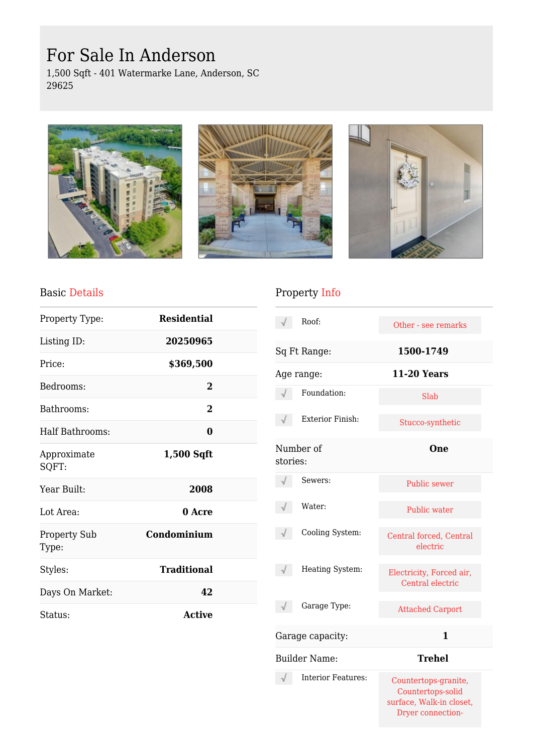# For Sale In Anderson

1,500 Sqft - 401 Watermarke Lane, Anderson, SC 29625







#### Basic Details

| Property Type:               | <b>Residential</b> |  |
|------------------------------|--------------------|--|
| Listing ID:                  | 20250965           |  |
| Price:                       | \$369,500          |  |
| Bedrooms:                    | 2                  |  |
| Bathrooms:                   | 2                  |  |
| Half Bathrooms:              | 0                  |  |
| Approximate<br>SQFT:         | $1,500$ Sqft       |  |
| Year Built:                  | 2008               |  |
| Lot Area:                    | 0 Acre             |  |
| <b>Property Sub</b><br>Type: | Condominium        |  |
| Styles:                      | <b>Traditional</b> |  |
| Days On Market:              | 42                 |  |
| Status:                      | <b>Active</b>      |  |

## Property Info

|          | Roof:                     | Other - see remarks                                                                        |  |
|----------|---------------------------|--------------------------------------------------------------------------------------------|--|
|          | Sq Ft Range:              | 1500-1749                                                                                  |  |
|          | Age range:                | <b>11-20 Years</b>                                                                         |  |
|          | Foundation:               | Slab                                                                                       |  |
|          | <b>Exterior Finish:</b>   | Stucco-synthetic                                                                           |  |
| stories: | Number of                 | <b>One</b>                                                                                 |  |
|          | Sewers:                   | <b>Public sewer</b>                                                                        |  |
|          | Water:                    | Public water                                                                               |  |
|          | Cooling System:           | Central forced, Central<br>electric                                                        |  |
|          | Heating System:           | Electricity, Forced air,<br>Central electric                                               |  |
|          | Garage Type:              | <b>Attached Carport</b>                                                                    |  |
|          | Garage capacity:          | 1                                                                                          |  |
|          | <b>Builder Name:</b>      | <b>Trehel</b>                                                                              |  |
|          | <b>Interior Features:</b> | Countertops-granite,<br>Countertops-solid<br>surface, Walk-in closet,<br>Dryer connection- |  |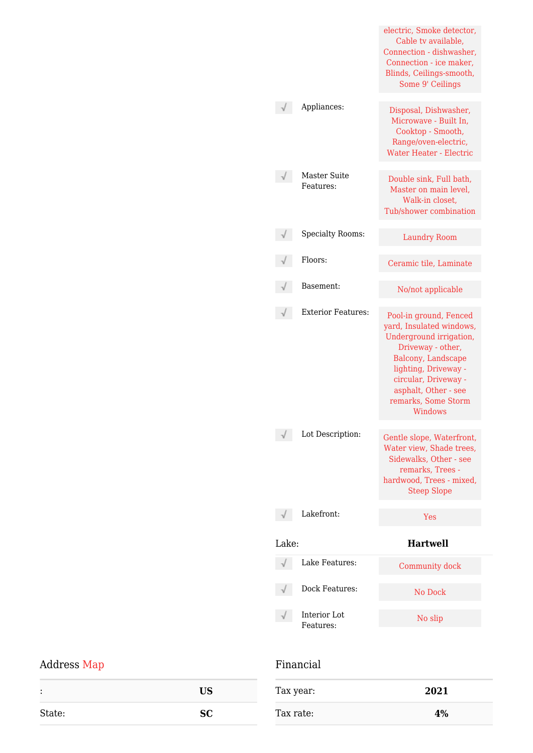|       |                                  | electric, Smoke detector,<br>Cable tv available,<br>Connection - dishwasher,<br>Connection - ice maker,<br>Blinds, Ceilings-smooth,<br>Some 9' Ceilings |
|-------|----------------------------------|---------------------------------------------------------------------------------------------------------------------------------------------------------|
|       | Appliances:                      | Disposal, Dishwasher,<br>Microwave - Built In,<br>Cooktop - Smooth,<br>Range/oven-electric,<br><b>Water Heater - Electric</b>                           |
|       | <b>Master Suite</b><br>Features: | Double sink, Full bath,<br>Master on main level,<br>Walk-in closet,<br>Tub/shower combination                                                           |
|       | <b>Specialty Rooms:</b>          | <b>Laundry Room</b>                                                                                                                                     |
|       | Floors:                          | Ceramic tile, Laminate                                                                                                                                  |
|       | Basement:                        | No/not applicable                                                                                                                                       |
|       | <b>Exterior Features:</b>        | Pool-in ground, Fenced<br>yard, Insulated windows,<br>Underground irrigation,<br>Driveway - other,<br>Balcony, Landscape<br>lighting, Driveway -        |
|       |                                  | circular, Driveway -<br>asphalt, Other - see<br>remarks, Some Storm<br>Windows                                                                          |
|       | Lot Description:                 | Gentle slope, Waterfront,<br>Water view, Shade trees,<br>Sidewalks, Other - see<br>remarks, Trees -<br>hardwood, Trees - mixed,<br><b>Steep Slope</b>   |
|       | Lakefront:                       | Yes                                                                                                                                                     |
| Lake: |                                  | <b>Hartwell</b>                                                                                                                                         |
|       | Lake Features:                   | Community dock                                                                                                                                          |
|       | Dock Features:                   | No Dock                                                                                                                                                 |

## Address Map

| Financial |
|-----------|
|-----------|

| Tax year: | 2021 |
|-----------|------|
| Tax rate: | 4%   |

| ٠<br>٠ | <b>US</b> |
|--------|-----------|
| State: | <b>SC</b> |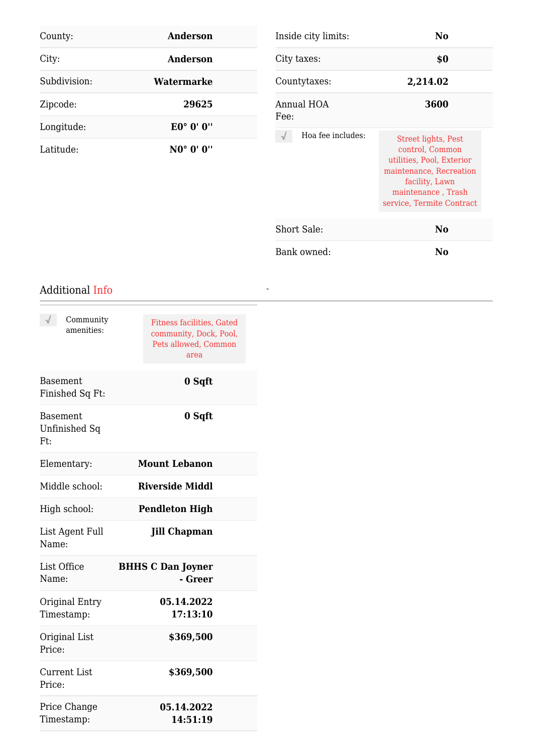| County:      | Anderson        | Inside city limits:       | No.                                                                                                                                                                        |
|--------------|-----------------|---------------------------|----------------------------------------------------------------------------------------------------------------------------------------------------------------------------|
| City:        | <b>Anderson</b> | City taxes:               | \$0                                                                                                                                                                        |
| Subdivision: | Watermarke      | Countytaxes:              | 2,214.02                                                                                                                                                                   |
| Zipcode:     | 29625           | Annual HOA                | 3600                                                                                                                                                                       |
| Longitude:   | E0° 0' 0"       | Fee:<br>Hoa fee includes: |                                                                                                                                                                            |
| Latitude:    | NO° 0' 0"       |                           | <b>Street lights, Pest</b><br>control, Common<br>utilities, Pool, Exterior<br>maintenance, Recreation<br>facility, Lawn<br>maintenance, Trash<br>service, Termite Contract |
|              |                 | Short Sale:               | N <sub>o</sub>                                                                                                                                                             |
|              |                 | Bank owned:               | N <sub>0</sub>                                                                                                                                                             |

*-*

#### Additional Info

| Community<br>amenities:                 | <b>Fitness facilities, Gated</b><br>community, Dock, Pool,<br>Pets allowed, Common<br>area |
|-----------------------------------------|--------------------------------------------------------------------------------------------|
| <b>Basement</b><br>Finished Sq Ft:      | 0 Sqft                                                                                     |
| <b>Basement</b><br>Unfinished Sq<br>Ft: | 0 Sqft                                                                                     |
| Elementary:                             | <b>Mount Lebanon</b>                                                                       |
| Middle school:                          | <b>Riverside Middl</b>                                                                     |
| High school:                            | <b>Pendleton High</b>                                                                      |
| List Agent Full<br>Name:                | <b>Jill Chapman</b>                                                                        |
| List Office<br>Name:                    | <b>BHHS C Dan Joyner</b><br>- Greer                                                        |
| Original Entry<br>Timestamp:            | 05.14.2022<br>17:13:10                                                                     |
| Original List<br>Price:                 | \$369,500                                                                                  |
| <b>Current List</b><br>Price:           | \$369,500                                                                                  |
| Price Change<br>Timestamp:              | 05.14.2022<br>14:51:19                                                                     |